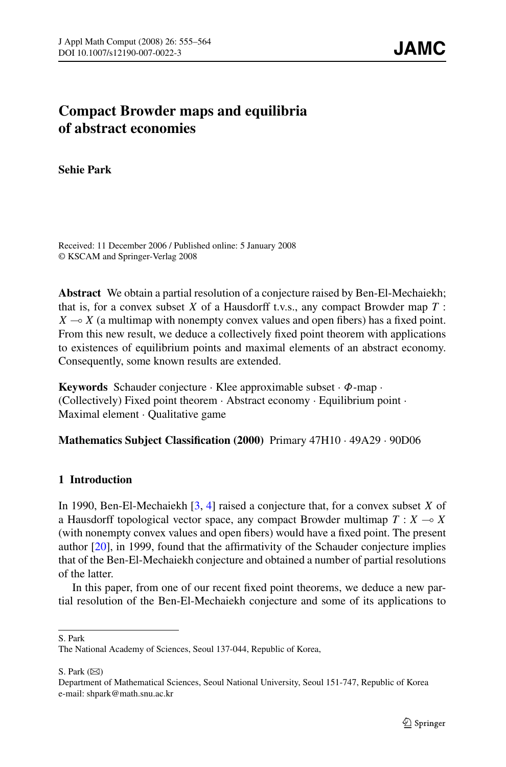# **Compact Browder maps and equilibria of abstract economies**

**Sehie Park**

Received: 11 December 2006 / Published online: 5 January 2008 © KSCAM and Springer-Verlag 2008

**Abstract** We obtain a partial resolution of a conjecture raised by Ben-El-Mechaiekh; that is, for a convex subset *X* of a Hausdorff t.v.s., any compact Browder map *T* :  $X \rightarrow X$  (a multimap with nonempty convex values and open fibers) has a fixed point. From this new result, we deduce a collectively fixed point theorem with applications to existences of equilibrium points and maximal elements of an abstract economy. Consequently, some known results are extended.

**Keywords** Schauder conjecture · Klee approximable subset · *Φ*-map · (Collectively) Fixed point theorem · Abstract economy · Equilibrium point · Maximal element · Qualitative game

**Mathematics Subject Classification (2000)** Primary 47H10 · 49A29 · 90D06

# **1 Introduction**

In 1990, Ben-El-Mechaiekh [[3,](#page-8-0) [4](#page-8-0)] raised a conjecture that, for a convex subset *X* of a Hausdorff topological vector space, any compact Browder multimap  $T : X \rightarrow X$ (with nonempty convex values and open fibers) would have a fixed point. The present author [\[20](#page-8-0)], in 1999, found that the affirmativity of the Schauder conjecture implies that of the Ben-El-Mechaiekh conjecture and obtained a number of partial resolutions of the latter.

In this paper, from one of our recent fixed point theorems, we deduce a new partial resolution of the Ben-El-Mechaiekh conjecture and some of its applications to

S. Park

S. Park  $(\boxtimes)$ 

The National Academy of Sciences, Seoul 137-044, Republic of Korea,

Department of Mathematical Sciences, Seoul National University, Seoul 151-747, Republic of Korea e-mail: shpark@math.snu.ac.kr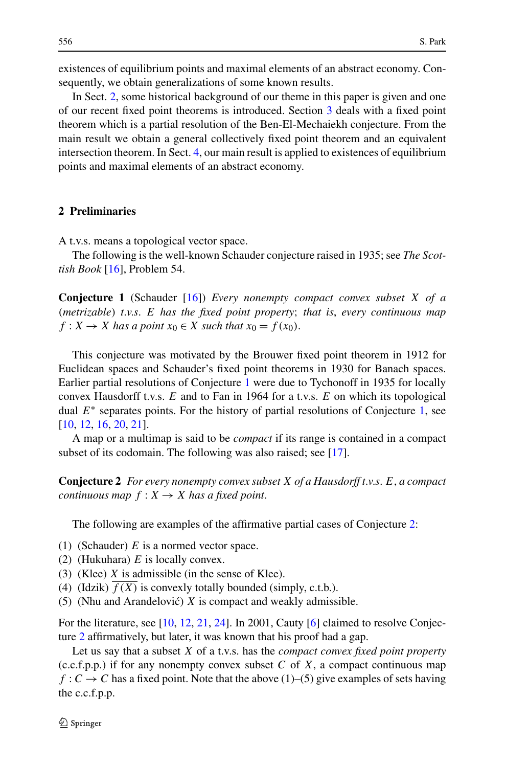<span id="page-1-0"></span>existences of equilibrium points and maximal elements of an abstract economy. Consequently, we obtain generalizations of some known results.

In Sect. 2, some historical background of our theme in this paper is given and one of our recent fixed point theorems is introduced. Section [3](#page-4-0) deals with a fixed point theorem which is a partial resolution of the Ben-El-Mechaiekh conjecture. From the main result we obtain a general collectively fixed point theorem and an equivalent intersection theorem. In Sect. [4](#page-6-0), our main result is applied to existences of equilibrium points and maximal elements of an abstract economy.

#### **2 Preliminaries**

A t.v.s. means a topological vector space.

The following is the well-known Schauder conjecture raised in 1935; see *The Scottish Book* [[16\]](#page-8-0), Problem 54.

**Conjecture 1** (Schauder [\[16](#page-8-0)]) *Every nonempty compact convex subset X of a (metrizable) t*.*v*.*s*. *E has the fixed point property*; *that is*, *every continuous map*  $f: X \to X$  *has a point*  $x_0 \in X$  *such that*  $x_0 = f(x_0)$ .

This conjecture was motivated by the Brouwer fixed point theorem in 1912 for Euclidean spaces and Schauder's fixed point theorems in 1930 for Banach spaces. Earlier partial resolutions of Conjecture 1 were due to Tychonoff in 1935 for locally convex Hausdorff t.v.s. *E* and to Fan in 1964 for a t.v.s. *E* on which its topological dual *E*<sup>∗</sup> separates points. For the history of partial resolutions of Conjecture 1, see [\[10](#page-8-0), [12](#page-8-0), [16,](#page-8-0) [20,](#page-8-0) [21\]](#page-9-0).

A map or a multimap is said to be *compact* if its range is contained in a compact subset of its codomain. The following was also raised; see [\[17](#page-8-0)].

**Conjecture 2** *For every nonempty convex subset X of a Hausdorff t*.*v*.*s*. *E*, *a compact continuous map*  $f: X \rightarrow X$  *has a fixed point.* 

The following are examples of the affirmative partial cases of Conjecture 2:

- (1) (Schauder) *E* is a normed vector space.
- (2) (Hukuhara) *E* is locally convex.
- (3) (Klee) *X* is admissible (in the sense of Klee).
- (4) (Idzik)  $f(X)$  is convexly totally bounded (simply, c.t.b.).
- (5) (Nhu and Arandelović)  $X$  is compact and weakly admissible.

For the literature, see [\[10](#page-8-0), [12](#page-8-0), [21](#page-9-0), [24](#page-9-0)]. In 2001, Cauty [[6\]](#page-8-0) claimed to resolve Conjecture 2 affirmatively, but later, it was known that his proof had a gap.

Let us say that a subset *X* of a t.v.s. has the *compact convex fixed point property* (c.c.f.p.p.) if for any nonempty convex subset *C* of *X*, a compact continuous map  $f: C \to C$  has a fixed point. Note that the above (1)–(5) give examples of sets having the c.c.f.p.p.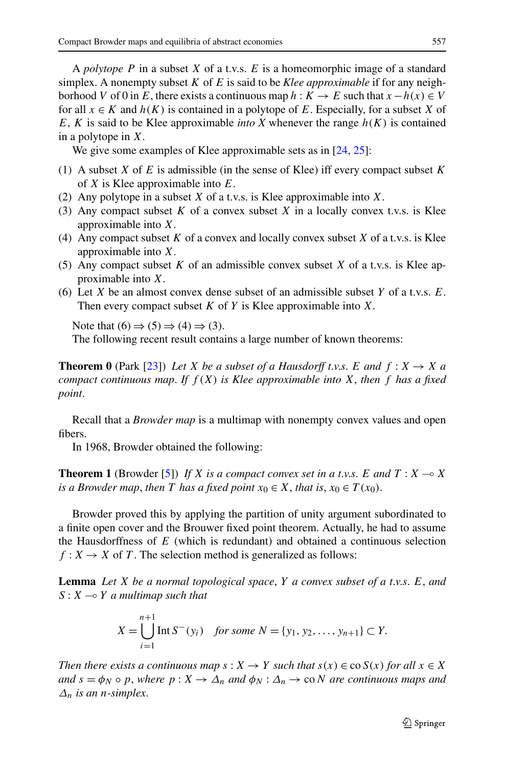<span id="page-2-0"></span>A *polytope P* in a subset *X* of a t.v.s. *E* is a homeomorphic image of a standard simplex. A nonempty subset *K* of *E* is said to be *Klee approximable* if for any neighborhood *V* of 0 in *E*, there exists a continuous map  $h: K \to E$  such that  $x - h(x) \in V$ for all  $x \in K$  and  $h(K)$  is contained in a polytope of E. Especially, for a subset X of *E*, *K* is said to be Klee approximable *into X* whenever the range  $h(K)$  is contained in a polytope in *X*.

We give some examples of Klee approximable sets as in [\[24](#page-9-0), [25](#page-9-0)]:

- (1) A subset *X* of *E* is admissible (in the sense of Klee) iff every compact subset *K* of *X* is Klee approximable into *E*.
- (2) Any polytope in a subset *X* of a t.v.s. is Klee approximable into *X*.
- (3) Any compact subset *K* of a convex subset *X* in a locally convex t.v.s. is Klee approximable into *X*.
- (4) Any compact subset *K* of a convex and locally convex subset *X* of a t.v.s. is Klee approximable into *X*.
- (5) Any compact subset *K* of an admissible convex subset *X* of a t.v.s. is Klee approximable into *X*.
- (6) Let *X* be an almost convex dense subset of an admissible subset *Y* of a t.v.s. *E*. Then every compact subset *K* of *Y* is Klee approximable into *X*.

Note that  $(6) \Rightarrow (5) \Rightarrow (4) \Rightarrow (3)$ .

The following recent result contains a large number of known theorems:

**Theorem 0** (Park [[23\]](#page-9-0)) *Let X be a subset of a Hausdorff t.v.s. E and*  $f: X \rightarrow X$  *a compact continuous map. If*  $f(X)$  *is Klee approximable into* X, then f has a fixed *point*.

Recall that a *Browder map* is a multimap with nonempty convex values and open fibers.

In 1968, Browder obtained the following:

**Theorem 1** (Browder [\[5](#page-8-0)]) *If X is a compact convex set in a t.v.s. E and*  $T : X \rightarrow X$ *is a Browder map, then T has a fixed point*  $x_0 \in X$ *, that is,*  $x_0 \in T(x_0)$ .

Browder proved this by applying the partition of unity argument subordinated to a finite open cover and the Brouwer fixed point theorem. Actually, he had to assume the Hausdorffness of *E* (which is redundant) and obtained a continuous selection  $f: X \to X$  of *T*. The selection method is generalized as follows:

**Lemma** *Let X be a normal topological space*, *Y a convex subset of a t*.*v*.*s*. *E*, *and*  $S: X \rightarrow Y$  *a multimap such that* 

$$
X = \bigcup_{i=1}^{n+1} \text{Int } S^-(y_i) \quad \text{for some } N = \{y_1, y_2, \dots, y_{n+1}\} \subset Y.
$$

*Then there exists a continuous map*  $s: X \to Y$  *such that*  $s(x) \in \cos(x)$  *for all*  $x \in X$ *and*  $s = \phi_N \circ p$ , where  $p: X \to \Delta_n$  and  $\phi_N: \Delta_n \to \infty$  *N* are continuous maps and *Δn is an n-simplex*.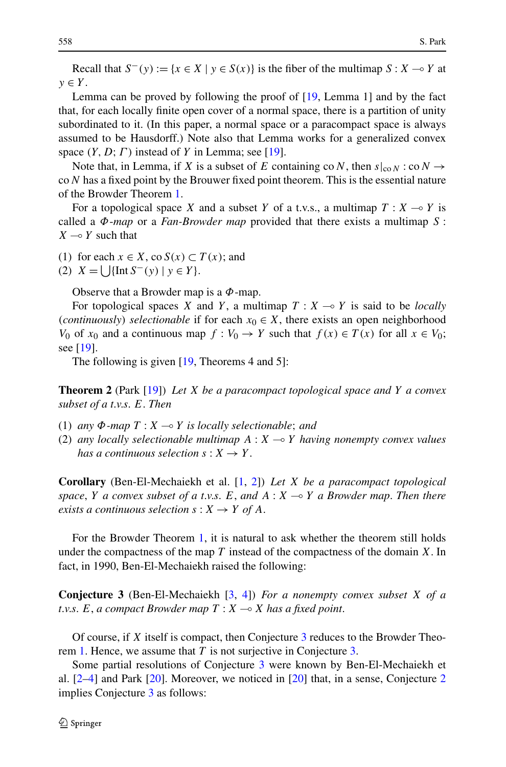<span id="page-3-0"></span>Recall that  $S^{-}(y) := \{x \in X \mid y \in S(x)\}$  is the fiber of the multimap  $S : X \to Y$  at  $y \in Y$ .

Lemma can be proved by following the proof of [\[19](#page-8-0), Lemma 1] and by the fact that, for each locally finite open cover of a normal space, there is a partition of unity subordinated to it. (In this paper, a normal space or a paracompact space is always assumed to be Hausdorff.) Note also that Lemma works for a generalized convex space *(Y,D*;*Γ )* instead of *Y* in Lemma; see [\[19](#page-8-0)].

Note that, in Lemma, if *X* is a subset of *E* containing co *N*, then  $s|_{\text{co }N}$  : co  $N \rightarrow$ co*N* has a fixed point by the Brouwer fixed point theorem. This is the essential nature of the Browder Theorem [1.](#page-2-0)

For a topological space *X* and a subset *Y* of a t.v.s., a multimap  $T : X \rightarrow Y$  is called a *Φ*-*map* or a *Fan-Browder map* provided that there exists a multimap *S* :  $X \rightarrow Y$  such that

(1) for each  $x \in X$ , co  $S(x) \subset T(x)$ ; and

(2)  $X = \left[ \int \left[ \ln S^{-}(y) \right] y \in Y \right].$ 

Observe that a Browder map is a *Φ*-map.

For topological spaces *X* and *Y*, a multimap  $T : X \rightarrow Y$  is said to be *locally (continuously) selectionable* if for each  $x_0 \in X$ , there exists an open neighborhood *V*<sub>0</sub> of *x*<sub>0</sub> and a continuous map  $f: V_0 \to Y$  such that  $f(x) \in T(x)$  for all  $x \in V_0$ ; see [\[19](#page-8-0)].

The following is given [\[19](#page-8-0), Theorems 4 and 5]:

**Theorem 2** (Park [[19\]](#page-8-0)) *Let X be a paracompact topological space and Y a convex subset of a t*.*v*.*s*. *E*. *Then*

- (1) *any Φ-map T* : *X Y is locally selectionable*; *and*
- (2) any locally selectionable multimap  $A: X \rightarrow Y$  having nonempty convex values *has a continuous selection*  $s: X \rightarrow Y$ .

**Corollary** (Ben-El-Mechaiekh et al. [\[1](#page-8-0), [2](#page-8-0)]) *Let X be a paracompact topological space*, *Y a convex subset of a t*.*v*.*s*. *E*, *and A* : *X* - *Y a Browder map*. *Then there exists a continuous selection*  $s: X \rightarrow Y$  *of* A.

For the Browder Theorem [1](#page-2-0), it is natural to ask whether the theorem still holds under the compactness of the map *T* instead of the compactness of the domain *X*. In fact, in 1990, Ben-El-Mechaiekh raised the following:

**Conjecture 3** (Ben-El-Mechaiekh [[3,](#page-8-0) [4](#page-8-0)]) *For a nonempty convex subset X of a*  $t.v.s. E, a compact Browder map T: X \rightarrow X$  has a fixed point.

Of course, if *X* itself is compact, then Conjecture 3 reduces to the Browder Theorem [1.](#page-2-0) Hence, we assume that *T* is not surjective in Conjecture 3.

Some partial resolutions of Conjecture 3 were known by Ben-El-Mechaiekh et al. [[2–4\]](#page-8-0) and Park [[20\]](#page-8-0). Moreover, we noticed in [[20\]](#page-8-0) that, in a sense, Conjecture [2](#page-1-0) implies Conjecture 3 as follows: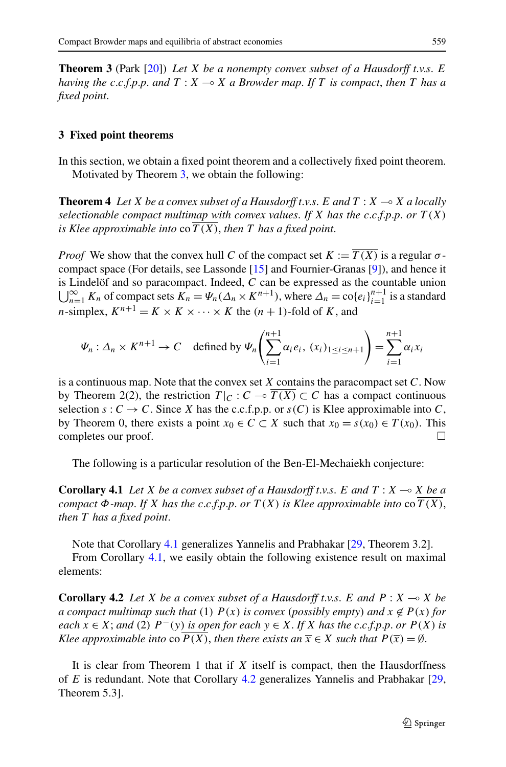<span id="page-4-0"></span>**Theorem 3** (Park [\[20](#page-8-0)]) *Let X be a nonempty convex subset of a Hausdorff t*.*v*.*s*. *E having the c*.*c*.*f*.*p*.*p*. *and T* : *X* - *X a Browder map*. *If T is compact*, *then T has a fixed point*.

## **3 Fixed point theorems**

In this section, we obtain a fixed point theorem and a collectively fixed point theorem. Motivated by Theorem 3, we obtain the following:

**Theorem 4** *Let X be a convex subset of a Hausdorff t.v.s. E and*  $T : X \rightarrow X$  *a locally selectionable compact multimap with convex values. If*  $X$  *has the c.c.f.p.p. or*  $T(X)$ *is Klee approximable into* co *T (X)*, *then T has a fixed point*.

*Proof* We show that the convex hull *C* of the compact set  $K := \overline{T(X)}$  is a regular  $\sigma$ compact space (For details, see Lassonde [[15\]](#page-8-0) and Fournier-Granas [\[9](#page-8-0)]), and hence it  $\bigcup_{n=1}^{\infty} K_n$  of compact sets  $K_n = \Psi_n(\Delta_n \times K^{n+1})$ , where  $\Delta_n = \text{co}\{e_i\}_{i=1}^{n+1}$  is a standard is Lindelöf and so paracompact. Indeed,  $C$  can be expressed as the countable union *n*-simplex,  $K^{n+1} = K \times K \times \cdots \times K$  the  $(n + 1)$ -fold of *K*, and

$$
\Psi_n: \Delta_n \times K^{n+1} \to C \quad \text{defined by } \Psi_n\left(\sum_{i=1}^{n+1} \alpha_i e_i, \ (x_i)_{1 \le i \le n+1}\right) = \sum_{i=1}^{n+1} \alpha_i x_i
$$

is a continuous map. Note that the convex set *X* contains the paracompact set *C*. Now by Theorem 2(2), the restriction  $T|_{C}: C \to \overline{T(X)} \subset C$  has a compact continuous selection  $s: C \to C$ . Since *X* has the c.c.f.p.p. or  $s(C)$  is Klee approximable into *C*, by Theorem 0, there exists a point  $x_0 \in C \subset X$  such that  $x_0 = s(x_0) \in T(x_0)$ . This completes our proof.

The following is a particular resolution of the Ben-El-Mechaiekh conjecture:

**Corollary 4.1** *Let*  $X$  *be a convex subset of a Hausdorff t.v.s.*  $E$  *and*  $T : X \rightarrow X$  *be a compact*  $\Phi$ *-map.* If *X* has the c.c.f.p.p. or  $T(X)$  is Klee approximable into co  $T(X)$ , *then T has a fixed point*.

Note that Corollary 4.1 generalizes Yannelis and Prabhakar [[29,](#page-9-0) Theorem 3.2].

From Corollary 4.1, we easily obtain the following existence result on maximal elements:

**Corollary 4.2** *Let X be a convex subset of a Hausdorff t.v.s. E and*  $P: X \rightarrow X$  *be a compact multimap such that*  $(1)$   $P(x)$  *is convex (possibly empty) and*  $x \notin P(x)$  *for* each  $x \in X$ ; and (2)  $P^-(y)$  is open for each  $y \in X$ . If X has the c.c.f.p.p. or  $P(X)$  is *Klee approximable into* co  $P(X)$ *, then there exists an*  $\overline{x} \in X$  *such that*  $P(\overline{x}) = \emptyset$ *.* 

It is clear from Theorem 1 that if *X* itself is compact, then the Hausdorffness of *E* is redundant. Note that Corollary 4.2 generalizes Yannelis and Prabhakar [\[29](#page-9-0), Theorem 5.3].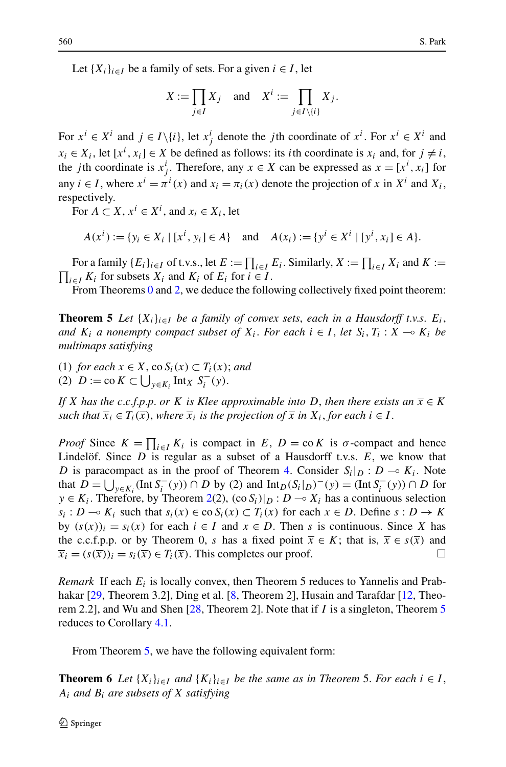<span id="page-5-0"></span>Let  ${X_i}_{i \in I}$  be a family of sets. For a given  $i \in I$ , let

$$
X := \prod_{j \in I} X_j \quad \text{and} \quad X^i := \prod_{j \in I \setminus \{i\}} X_j.
$$

For  $x^i \in X^i$  and  $j \in I \setminus \{i\}$ , let  $x^i_j$  denote the *j*th coordinate of  $x^i$ . For  $x^i \in X^i$  and  $x_i \in X_i$ , let  $[x^i, x_i] \in X$  be defined as follows: its *i*th coordinate is  $x_i$  and, for  $j \neq i$ , the *j*th coordinate is  $x_j^i$ . Therefore, any  $x \in X$  can be expressed as  $x = [x^i, x_i]$  for any  $i \in I$ , where  $x^i = \pi^i(x)$  and  $x_i = \pi_i(x)$  denote the projection of *x* in  $X^i$  and  $X_i$ , respectively.

For  $A \subset X$ ,  $x^i \in X^i$ , and  $x_i \in X_i$ , let

$$
A(x^{i}) := \{ y_{i} \in X_{i} \mid [x^{i}, y_{i}] \in A \} \quad \text{and} \quad A(x_{i}) := \{ y^{i} \in X^{i} \mid [y^{i}, x_{i}] \in A \}.
$$

For a family  $\{E_i\}_{i \in I}$  of t.v.s., let  $E := \prod_{i \in I} E_i$ . Similarly,  $X := \prod_{i \in I} X_i$  and  $K :=$  $\prod_{i \in I} K_i$  for subsets  $X_i$  and  $K_i$  of  $E_i$  for  $i \in I$ .

From Theorems [0](#page-2-0) and [2,](#page-3-0) we deduce the following collectively fixed point theorem:

**Theorem 5** Let  $\{X_i\}_{i\in I}$  be a family of convex sets, each in a Hausdorff t.v.s.  $E_i$ , *and*  $K_i$  *a* nonempty compact subset of  $X_i$ . For each  $i \in I$ , let  $S_i$ ,  $T_i : X \to K_i$  be *multimaps satisfying*

(1) *for each*  $x \in X$ , co  $S_i(x) \subset T_i(x)$ ; *and* (2)  $D := \text{co } K \subset \bigcup_{y \in K_i} \text{Int}_X S_i^-(y).$ 

*If X has the c.c.f.p.p. or K is Klee approximable into D, then there exists an*  $\overline{x} \in K$ *such that*  $\overline{x}_i \in T_i(\overline{x})$ , *where*  $\overline{x}_i$  *is the projection of*  $\overline{x}$  *in*  $X_i$ , *for each*  $i \in I$ .

*Proof* Since  $K = \prod_{i \in I} K_i$  is compact in *E*,  $D = \text{co } K$  is  $\sigma$ -compact and hence Lindelöf. Since *D* is regular as a subset of a Hausdorff t.v.s. *E*, we know that *D* is paracompact as in the proof of Theorem [4.](#page-4-0) Consider  $S_i|_D : D \to K_i$ . Note that *D* =  $\bigcup_{y \in K_i}$  (Int *S<sub>i</sub><sup>−</sup>*(*y*)) ∩ *D* by (2) and Int<sub>*D*</sub>(*S<sub>i</sub>*|*D*)<sup>−</sup>(*y*) = (Int *S<sub>i</sub><sup>−</sup>*(*y*)) ∩ *D* for *y* ∈ *K<sub>i</sub>*. Therefore, by Theorem [2](#page-3-0)(2),  $(\cos S_i)|_D : D \rightarrow X_i$  has a continuous selection *s<sub>i</sub>* : *D* → *K<sub>i</sub>* such that  $s_i(x) \in \text{co } S_i(x) \subset T_i(x)$  for each  $x \in D$ . Define  $s : D \to K$ by  $(s(x))_i = s_i(x)$  for each  $i \in I$  and  $x \in D$ . Then *s* is continuous. Since *X* has the c.c.f.p.p. or by Theorem 0, *s* has a fixed point  $\overline{x} \in K$ ; that is,  $\overline{x} \in s(\overline{x})$  and  $\overline{x}_i = (s(\overline{x}))_i = s_i(\overline{x}) \in T_i(\overline{x})$ . This completes our proof.

*Remark* If each *Ei* is locally convex, then Theorem 5 reduces to Yannelis and Prab-hakar [[29,](#page-9-0) Theorem 3.2], Ding et al. [\[8](#page-8-0), Theorem 2], Husain and Tarafdar [[12,](#page-8-0) Theorem 2.2], and Wu and Shen [[28,](#page-9-0) Theorem 2]. Note that if *I* is a singleton, Theorem 5 reduces to Corollary [4.1](#page-4-0).

From Theorem 5, we have the following equivalent form:

**Theorem 6** Let  $\{X_i\}_{i\in I}$  and  $\{K_i\}_{i\in I}$  be the same as in Theorem 5. For each  $i \in I$ , *Ai and Bi are subsets of X satisfying*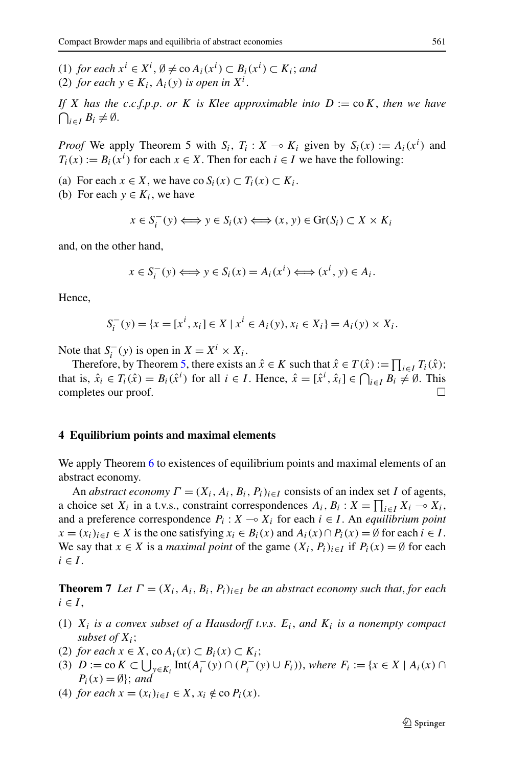<span id="page-6-0"></span>(1) *for each*  $x^i$  ∈  $X^i$ ,  $\emptyset$  ≠ co  $A_i(x^i)$  ⊂  $B_i(x^i)$  ⊂  $K_i$ ; *and* (2) *for each*  $y \in K_i$ ,  $A_i(y)$  *is open in*  $X^i$ .

*If X has the c*.*c*.*f*.*p*.*p*. *or K is Klee approximable into D* := co*K*, *then we have*  $\bigcap_{i\in I} B_i \neq \emptyset$ .

*Proof* We apply Theorem 5 with  $S_i$ ,  $T_i$ :  $X \rightarrow K_i$  given by  $S_i(x) := A_i(x^i)$  and  $T_i(x) := B_i(x^i)$  for each  $x \in X$ . Then for each  $i \in I$  we have the following:

- (a) For each  $x \in X$ , we have co  $S_i(x) \subset T_i(x) \subset K_i$ .
- (b) For each  $y \in K_i$ , we have

$$
x \in S_i^-(y) \Longleftrightarrow y \in S_i(x) \Longleftrightarrow (x, y) \in \text{Gr}(S_i) \subset X \times K_i
$$

and, on the other hand,

$$
x \in S_i^-(y) \Longleftrightarrow y \in S_i(x) = A_i(x^i) \Longleftrightarrow (x^i, y) \in A_i.
$$

Hence,

$$
S_i^-(y) = \{x = [x^i, x_i] \in X \mid x^i \in A_i(y), x_i \in X_i\} = A_i(y) \times X_i.
$$

Note that  $S_i^-(y)$  is open in  $X = X^i \times X_i$ .

Therefore, by Theorem [5,](#page-5-0) there exists an  $\hat{x} \in K$  such that  $\hat{x} \in T(\hat{x}) := \prod_{i \in I} T_i(\hat{x})$ ; that is,  $\hat{x}_i \in T_i(\hat{x}) = B_i(\hat{x}^i)$  for all  $i \in I$ . Hence,  $\hat{x} = [\hat{x}^i, \hat{x}_i] \in \bigcap_{i \in I} B_i \neq \emptyset$ . This completes our proof.

#### **4 Equilibrium points and maximal elements**

We apply Theorem [6](#page-5-0) to existences of equilibrium points and maximal elements of an abstract economy.

An *abstract economy*  $\Gamma = (X_i, A_i, B_i, P_i)_{i \in I}$  consists of an index set *I* of agents, a choice set  $X_i$  in a t.v.s., constraint correspondences  $A_i$ ,  $B_i$  :  $X = \prod_{i \in I} X_i \to X_i$ , and a preference correspondence  $P_i$ :  $X \rightarrow X_i$  for each  $i \in I$ . An *equilibrium point x* =  $(x_i)_{i \in I}$  ∈ *X* is the one satisfying  $x_i$  ∈  $B_i(x)$  and  $A_i(x) \cap P_i(x) = ∅$  for each  $i ∈ I$ . We say that *x* ∈ *X* is a *maximal point* of the game  $(X_i, P_i)_{i \in I}$  if  $P_i(x) = \emptyset$  for each  $i \in I$ .

**Theorem 7** Let  $\Gamma = (X_i, A_i, B_i, P_i)_{i \in I}$  be an abstract economy such that, for each  $i \in I$ ,

- (1) *Xi is a convex subset of a Hausdorff t*.*v*.*s*. *Ei*, *and Ki is a nonempty compact subset of Xi*;
- (2) *for each*  $x \in X$ , co  $A_i(x) \subset B_i(x) \subset K_i$ ;
- (3)  $D := \text{co } K \subset \bigcup_{y \in K_i} \text{Int}(A_i^-(y) \cap (P_i^-(y) \cup F_i)), \text{ where } F_i := \{x \in X \mid A_i(x) \cap F_i\}$  $P_i(x) = \emptyset$ ; *and*
- (4) *for each*  $x = (x_i)_{i \in I} \in X$ ,  $x_i \notin \text{co } P_i(x)$ .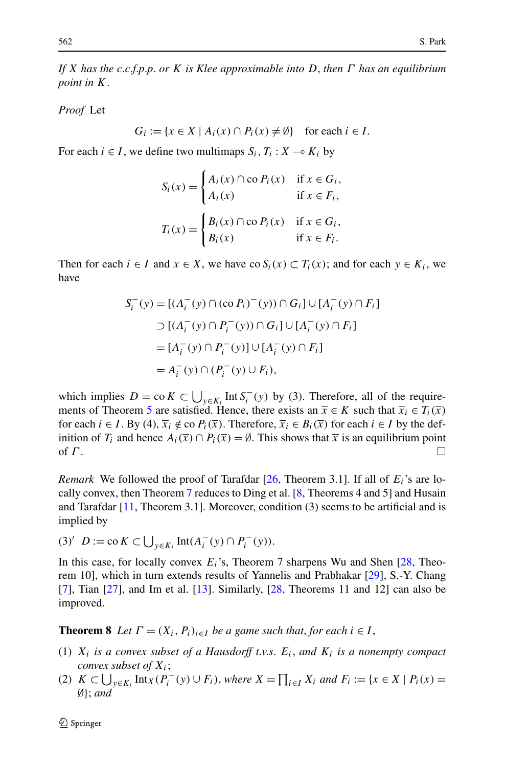*If X has the c*.*c*.*f*.*p*.*p*. *or K is Klee approximable into D*, *then Γ has an equilibrium point in K*.

*Proof* Let

$$
G_i := \{ x \in X \mid A_i(x) \cap P_i(x) \neq \emptyset \} \text{ for each } i \in I.
$$

For each  $i \in I$ , we define two multimaps  $S_i$ ,  $T_i : X \to K_i$  by

$$
S_i(x) = \begin{cases} A_i(x) \cap \text{co } P_i(x) & \text{if } x \in G_i, \\ A_i(x) & \text{if } x \in F_i, \end{cases}
$$

$$
T_i(x) = \begin{cases} B_i(x) \cap \text{co } P_i(x) & \text{if } x \in G_i, \\ B_i(x) & \text{if } x \in F_i. \end{cases}
$$

Then for each  $i \in I$  and  $x \in X$ , we have co  $S_i(x) \subset T_i(x)$ ; and for each  $y \in K_i$ , we have

$$
S_i^-(y) = [(A_i^-(y) \cap (co P_i)^-(y)) \cap G_i] \cup [A_i^-(y) \cap F_i]
$$
  
\n
$$
\supset [(A_i^-(y) \cap P_i^-(y)) \cap G_i] \cup [A_i^-(y) \cap F_i]
$$
  
\n
$$
= [A_i^-(y) \cap P_i^-(y)] \cup [A_i^-(y) \cap F_i]
$$
  
\n
$$
= A_i^-(y) \cap (P_i^-(y) \cup F_i),
$$

which implies  $D = \text{co } K \subset \bigcup_{y \in K_i} \text{Int } S_i^-(y)$  by (3). Therefore, all of the require-ments of Theorem [5](#page-5-0) are satisfied. Hence, there exists an  $\overline{x} \in K$  such that  $\overline{x}_i \in T_i(\overline{x})$ for each  $i \in I$ . By (4),  $\overline{x_i} \notin \text{co } P_i(\overline{x})$ . Therefore,  $\overline{x_i} \in B_i(\overline{x})$  for each  $i \in I$  by the definition of *T<sub>i</sub>* and hence  $A_i(\overline{x}) \cap P_i(\overline{x}) = \emptyset$ . This shows that  $\overline{x}$  is an equilibrium point of  $\Gamma$ .

*Remark* We followed the proof of Tarafdar [[26,](#page-9-0) Theorem 3.1]. If all of  $E_i$ 's are locally convex, then Theorem [7](#page-6-0) reduces to Ding et al. [[8,](#page-8-0) Theorems 4 and 5] and Husain and Tarafdar [\[11](#page-8-0), Theorem 3.1]. Moreover, condition (3) seems to be artificial and is implied by

(3)' 
$$
D := \text{co } K \subset \bigcup_{y \in K_i} \text{Int}(A_i^-(y) \cap P_i^-(y)).
$$

In this case, for locally convex *Ei*'s, Theorem 7 sharpens Wu and Shen [\[28](#page-9-0), Theorem 10], which in turn extends results of Yannelis and Prabhakar [\[29](#page-9-0)], S.-Y. Chang [\[7](#page-8-0)], Tian [[27\]](#page-9-0), and Im et al. [[13\]](#page-8-0). Similarly, [\[28](#page-9-0), Theorems 11 and 12] can also be improved.

**Theorem 8** *Let*  $\Gamma = (X_i, P_i)_{i \in I}$  *be a game such that, for each*  $i \in I$ ,

- (1)  $X_i$  *is a convex subset of a Hausdorff t.v.s.*  $E_i$ *, and*  $K_i$  *is a nonempty compact convex subset of Xi*;
- (2)  $K \subset \bigcup_{y \in K_i} \text{Int}_X(P_i^-(y) \cup F_i)$ , *where*  $X = \prod_{i \in I} X_i$  *and*  $F_i := \{x \in X \mid P_i(x) = x\}$ ∅}; *and*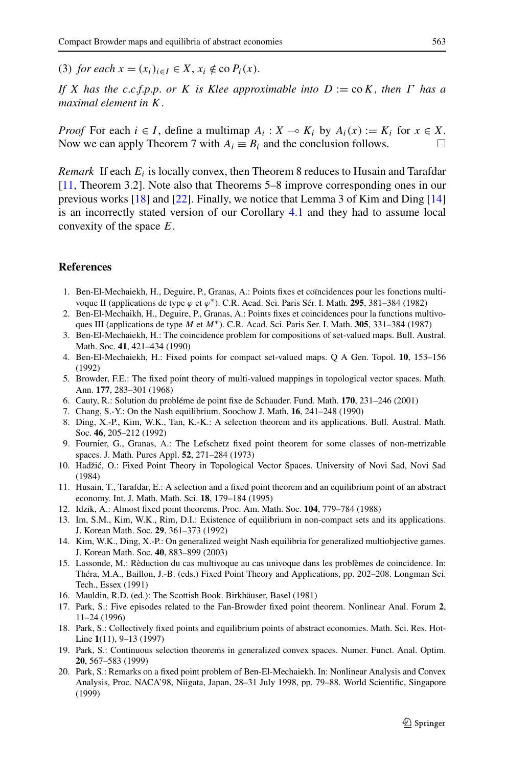<span id="page-8-0"></span>(3) *for each*  $x = (x_i)_{i \in I} \in X$ ,  $x_i \notin \text{co } P_i(x)$ .

*If X has the c*.*c*.*f*.*p*.*p*. *or K is Klee approximable into D* := co*K*, *then Γ has a maximal element in K*.

*Proof* For each  $i \in I$ , define a multimap  $A_i : X \to K_i$  by  $A_i(x) := K_i$  for  $x \in X$ . Now we can apply Theorem 7 with  $A_i \equiv B_i$  and the conclusion follows.

*Remark* If each *Ei* is locally convex, then Theorem 8 reduces to Husain and Tarafdar [11, Theorem 3.2]. Note also that Theorems 5–8 improve corresponding ones in our previous works [18] and [[22\]](#page-9-0). Finally, we notice that Lemma 3 of Kim and Ding [14] is an incorrectly stated version of our Corollary [4.1](#page-4-0) and they had to assume local convexity of the space *E*.

### **References**

- 1. Ben-El-Mechaiekh, H., Deguire, P., Granas, A.: Points fixes et coïncidences pour les fonctions multivoque II (applications de type *ϕ* et *ϕ*∗). C.R. Acad. Sci. Paris Sér. I. Math. **295**, 381–384 (1982)
- 2. Ben-El-Mechaikh, H., Deguire, P., Granas, A.: Points fixes et coincidences pour la functions multivoques III (applications de type *M* et *M*∗). C.R. Acad. Sci. Paris Ser. I. Math. **305**, 331–384 (1987)
- 3. Ben-El-Mechaiekh, H.: The coincidence problem for compositions of set-valued maps. Bull. Austral. Math. Soc. **41**, 421–434 (1990)
- 4. Ben-El-Mechaiekh, H.: Fixed points for compact set-valued maps. Q A Gen. Topol. **10**, 153–156 (1992)
- 5. Browder, F.E.: The fixed point theory of multi-valued mappings in topological vector spaces. Math. Ann. **177**, 283–301 (1968)
- 6. Cauty, R.: Solution du probléme de point fixe de Schauder. Fund. Math. **170**, 231–246 (2001)
- 7. Chang, S.-Y.: On the Nash equilibrium. Soochow J. Math. **16**, 241–248 (1990)
- 8. Ding, X.-P., Kim, W.K., Tan, K.-K.: A selection theorem and its applications. Bull. Austral. Math. Soc. **46**, 205–212 (1992)
- 9. Fournier, G., Granas, A.: The Lefschetz fixed point theorem for some classes of non-metrizable spaces. J. Math. Pures Appl. **52**, 271–284 (1973)
- 10. Hadžic, O.: Fixed Point Theory in Topological Vector Spaces. University of Novi Sad, Novi Sad ´ (1984)
- 11. Husain, T., Tarafdar, E.: A selection and a fixed point theorem and an equilibrium point of an abstract economy. Int. J. Math. Math. Sci. **18**, 179–184 (1995)
- 12. Idzik, A.: Almost fixed point theorems. Proc. Am. Math. Soc. **104**, 779–784 (1988)
- 13. Im, S.M., Kim, W.K., Rim, D.I.: Existence of equilibrium in non-compact sets and its applications. J. Korean Math. Soc. **29**, 361–373 (1992)
- 14. Kim, W.K., Ding, X.-P.: On generalized weight Nash equilibria for generalized multiobjective games. J. Korean Math. Soc. **40**, 883–899 (2003)
- 15. Lassonde, M.: Rèduction du cas multivoque au cas univoque dans les problèmes de coincidence. In: Théra, M.A., Baillon, J.-B. (eds.) Fixed Point Theory and Applications, pp. 202–208. Longman Sci. Tech., Essex (1991)
- 16. Mauldin, R.D. (ed.): The Scottish Book. Birkhäuser, Basel (1981)
- 17. Park, S.: Five episodes related to the Fan-Browder fixed point theorem. Nonlinear Anal. Forum **2**, 11–24 (1996)
- 18. Park, S.: Collectively fixed points and equilibrium points of abstract economies. Math. Sci. Res. Hot-Line **1**(11), 9–13 (1997)
- 19. Park, S.: Continuous selection theorems in generalized convex spaces. Numer. Funct. Anal. Optim. **20**, 567–583 (1999)
- 20. Park, S.: Remarks on a fixed point problem of Ben-El-Mechaiekh. In: Nonlinear Analysis and Convex Analysis, Proc. NACA'98, Niigata, Japan, 28–31 July 1998, pp. 79–88. World Scientific, Singapore (1999)